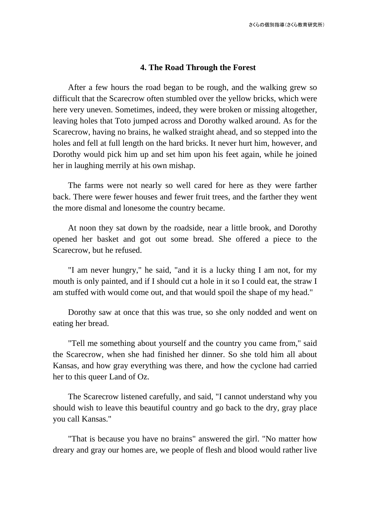## **4. The Road Through the Forest**

After a few hours the road began to be rough, and the walking grew so difficult that the Scarecrow often stumbled over the yellow bricks, which were here very uneven. Sometimes, indeed, they were broken or missing altogether, leaving holes that Toto jumped across and Dorothy walked around. As for the Scarecrow, having no brains, he walked straight ahead, and so stepped into the holes and fell at full length on the hard bricks. It never hurt him, however, and Dorothy would pick him up and set him upon his feet again, while he joined her in laughing merrily at his own mishap.

The farms were not nearly so well cared for here as they were farther back. There were fewer houses and fewer fruit trees, and the farther they went the more dismal and lonesome the country became.

At noon they sat down by the roadside, near a little brook, and Dorothy opened her basket and got out some bread. She offered a piece to the Scarecrow, but he refused.

"I am never hungry," he said, "and it is a lucky thing I am not, for my mouth is only painted, and if I should cut a hole in it so I could eat, the straw I am stuffed with would come out, and that would spoil the shape of my head."

Dorothy saw at once that this was true, so she only nodded and went on eating her bread.

"Tell me something about yourself and the country you came from," said the Scarecrow, when she had finished her dinner. So she told him all about Kansas, and how gray everything was there, and how the cyclone had carried her to this queer Land of Oz.

The Scarecrow listened carefully, and said, "I cannot understand why you should wish to leave this beautiful country and go back to the dry, gray place you call Kansas."

"That is because you have no brains" answered the girl. "No matter how dreary and gray our homes are, we people of flesh and blood would rather live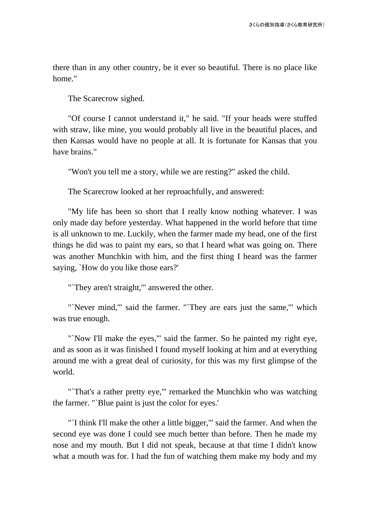there than in any other country, be it ever so beautiful. There is no place like home."

The Scarecrow sighed.

"Of course I cannot understand it," he said. "If your heads were stuffed with straw, like mine, you would probably all live in the beautiful places, and then Kansas would have no people at all. It is fortunate for Kansas that you have brains."

"Won't you tell me a story, while we are resting?" asked the child.

The Scarecrow looked at her reproachfully, and answered:

"My life has been so short that I really know nothing whatever. I was only made day before yesterday. What happened in the world before that time is all unknown to me. Luckily, when the farmer made my head, one of the first things he did was to paint my ears, so that I heard what was going on. There was another Munchkin with him, and the first thing I heard was the farmer saying, `How do you like those ears?'

"They aren't straight," answered the other.

"'Never mind," said the farmer. "'They are ears just the same," which was true enough.

"`Now I'll make the eyes,'" said the farmer. So he painted my right eye, and as soon as it was finished I found myself looking at him and at everything around me with a great deal of curiosity, for this was my first glimpse of the world.

"`That's a rather pretty eye,'" remarked the Munchkin who was watching the farmer. "`Blue paint is just the color for eyes.'

"`I think I'll make the other a little bigger,'" said the farmer. And when the second eye was done I could see much better than before. Then he made my nose and my mouth. But I did not speak, because at that time I didn't know what a mouth was for. I had the fun of watching them make my body and my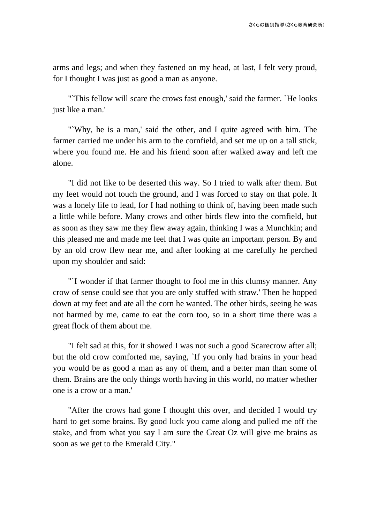arms and legs; and when they fastened on my head, at last, I felt very proud, for I thought I was just as good a man as anyone.

"`This fellow will scare the crows fast enough,' said the farmer. `He looks just like a man.'

"`Why, he is a man,' said the other, and I quite agreed with him. The farmer carried me under his arm to the cornfield, and set me up on a tall stick, where you found me. He and his friend soon after walked away and left me alone.

"I did not like to be deserted this way. So I tried to walk after them. But my feet would not touch the ground, and I was forced to stay on that pole. It was a lonely life to lead, for I had nothing to think of, having been made such a little while before. Many crows and other birds flew into the cornfield, but as soon as they saw me they flew away again, thinking I was a Munchkin; and this pleased me and made me feel that I was quite an important person. By and by an old crow flew near me, and after looking at me carefully he perched upon my shoulder and said:

"`I wonder if that farmer thought to fool me in this clumsy manner. Any crow of sense could see that you are only stuffed with straw.' Then he hopped down at my feet and ate all the corn he wanted. The other birds, seeing he was not harmed by me, came to eat the corn too, so in a short time there was a great flock of them about me.

"I felt sad at this, for it showed I was not such a good Scarecrow after all; but the old crow comforted me, saying, `If you only had brains in your head you would be as good a man as any of them, and a better man than some of them. Brains are the only things worth having in this world, no matter whether one is a crow or a man.'

"After the crows had gone I thought this over, and decided I would try hard to get some brains. By good luck you came along and pulled me off the stake, and from what you say I am sure the Great Oz will give me brains as soon as we get to the Emerald City."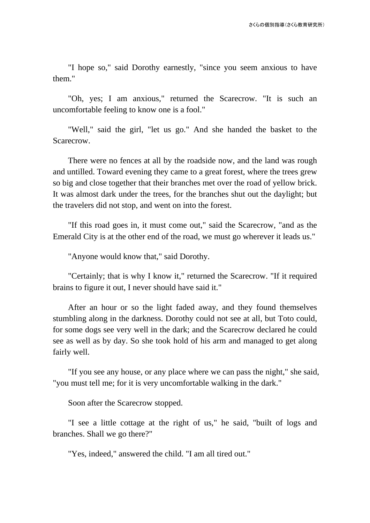"I hope so," said Dorothy earnestly, "since you seem anxious to have them."

"Oh, yes; I am anxious," returned the Scarecrow. "It is such an uncomfortable feeling to know one is a fool."

"Well," said the girl, "let us go." And she handed the basket to the Scarecrow.

There were no fences at all by the roadside now, and the land was rough and untilled. Toward evening they came to a great forest, where the trees grew so big and close together that their branches met over the road of yellow brick. It was almost dark under the trees, for the branches shut out the daylight; but the travelers did not stop, and went on into the forest.

"If this road goes in, it must come out," said the Scarecrow, "and as the Emerald City is at the other end of the road, we must go wherever it leads us."

"Anyone would know that," said Dorothy.

"Certainly; that is why I know it," returned the Scarecrow. "If it required brains to figure it out, I never should have said it."

After an hour or so the light faded away, and they found themselves stumbling along in the darkness. Dorothy could not see at all, but Toto could, for some dogs see very well in the dark; and the Scarecrow declared he could see as well as by day. So she took hold of his arm and managed to get along fairly well.

"If you see any house, or any place where we can pass the night," she said, "you must tell me; for it is very uncomfortable walking in the dark."

Soon after the Scarecrow stopped.

"I see a little cottage at the right of us," he said, "built of logs and branches. Shall we go there?"

"Yes, indeed," answered the child. "I am all tired out."